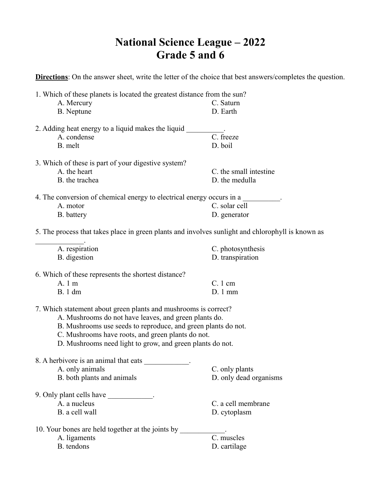## **National Science League – 2022 Grade 5 and 6**

**Directions**: On the answer sheet, write the letter of the choice that best answers/completes the question.

| 1. Which of these planets is located the greatest distance from the sun?                          |                        |
|---------------------------------------------------------------------------------------------------|------------------------|
| A. Mercury                                                                                        | C. Saturn              |
| B. Neptune                                                                                        | D. Earth               |
| 2. Adding heat energy to a liquid makes the liquid                                                |                        |
| A. condense                                                                                       | C. freeze              |
| B. melt                                                                                           | D. boil                |
| 3. Which of these is part of your digestive system?                                               |                        |
| A. the heart                                                                                      | C. the small intestine |
| B. the trachea                                                                                    | D. the medulla         |
| 4. The conversion of chemical energy to electrical energy occurs in a                             |                        |
| A. motor                                                                                          | C. solar cell          |
| B. battery                                                                                        | D. generator           |
| 5. The process that takes place in green plants and involves sunlight and chlorophyll is known as |                        |
| A. respiration                                                                                    | C. photosynthesis      |
| B. digestion                                                                                      | D. transpiration       |
|                                                                                                   |                        |
| 6. Which of these represents the shortest distance?                                               |                        |
| A. 1 m                                                                                            | $C.1$ cm               |
| <b>B.</b> 1 dm                                                                                    | $D.1$ mm               |
| 7. Which statement about green plants and mushrooms is correct?                                   |                        |
| A. Mushrooms do not have leaves, and green plants do.                                             |                        |
| B. Mushrooms use seeds to reproduce, and green plants do not.                                     |                        |
| C. Mushrooms have roots, and green plants do not.                                                 |                        |
| D. Mushrooms need light to grow, and green plants do not.                                         |                        |
| 8. A herbivore is an animal that eats                                                             |                        |
| A. only animals                                                                                   | C. only plants         |
| B. both plants and animals                                                                        | D. only dead organisms |
| 9. Only plant cells have ____________.                                                            |                        |
| A. a nucleus                                                                                      | C. a cell membrane     |
| B. a cell wall                                                                                    | D. cytoplasm           |
| 10. Your bones are held together at the joints by                                                 |                        |
| A. ligaments                                                                                      | C. muscles             |
| B. tendons                                                                                        | D. cartilage           |
|                                                                                                   |                        |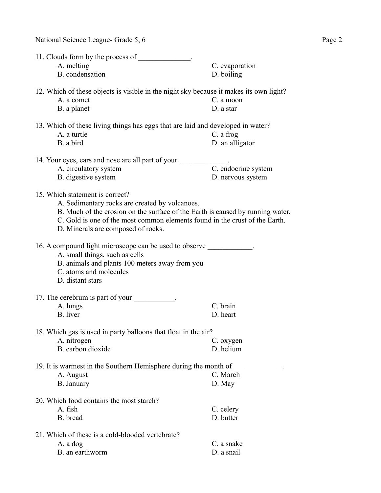| 11. Clouds form by the process of                                                                                                                                                                                                                                                        |                                                                                                                  |  |
|------------------------------------------------------------------------------------------------------------------------------------------------------------------------------------------------------------------------------------------------------------------------------------------|------------------------------------------------------------------------------------------------------------------|--|
| A. melting                                                                                                                                                                                                                                                                               | C. evaporation                                                                                                   |  |
| B. condensation                                                                                                                                                                                                                                                                          | D. boiling                                                                                                       |  |
| A. a comet<br>B. a planet                                                                                                                                                                                                                                                                | 12. Which of these objects is visible in the night sky because it makes its own light?<br>C. a moon<br>D. a star |  |
| A. a turtle<br>B. a bird                                                                                                                                                                                                                                                                 | 13. Which of these living things has eggs that are laid and developed in water?<br>C. a frog<br>D. an alligator  |  |
| 14. Your eyes, ears and nose are all part of your                                                                                                                                                                                                                                        |                                                                                                                  |  |
| A. circulatory system                                                                                                                                                                                                                                                                    | C. endocrine system                                                                                              |  |
| B. digestive system                                                                                                                                                                                                                                                                      | D. nervous system                                                                                                |  |
| 15. Which statement is correct?<br>A. Sedimentary rocks are created by volcanoes.<br>B. Much of the erosion on the surface of the Earth is caused by running water.<br>C. Gold is one of the most common elements found in the crust of the Earth.<br>D. Minerals are composed of rocks. |                                                                                                                  |  |
| 16. A compound light microscope can be used to observe<br>A. small things, such as cells<br>B. animals and plants 100 meters away from you<br>C. atoms and molecules<br>D. distant stars                                                                                                 |                                                                                                                  |  |
| 17. The cerebrum is part of your .                                                                                                                                                                                                                                                       |                                                                                                                  |  |
| A. lungs                                                                                                                                                                                                                                                                                 | C. brain                                                                                                         |  |
| B. liver                                                                                                                                                                                                                                                                                 | D. heart                                                                                                         |  |
| 18. Which gas is used in party balloons that float in the air?                                                                                                                                                                                                                           |                                                                                                                  |  |
| A. nitrogen                                                                                                                                                                                                                                                                              | C. oxygen                                                                                                        |  |
| B. carbon dioxide                                                                                                                                                                                                                                                                        | D. helium                                                                                                        |  |
| 19. It is warmest in the Southern Hemisphere during the month of                                                                                                                                                                                                                         |                                                                                                                  |  |
| A. August                                                                                                                                                                                                                                                                                | C. March                                                                                                         |  |
| B. January                                                                                                                                                                                                                                                                               | D. May                                                                                                           |  |
| 20. Which food contains the most starch?                                                                                                                                                                                                                                                 |                                                                                                                  |  |
| A. fish                                                                                                                                                                                                                                                                                  | C. celery                                                                                                        |  |
| B. bread                                                                                                                                                                                                                                                                                 | D. butter                                                                                                        |  |
| 21. Which of these is a cold-blooded vertebrate?                                                                                                                                                                                                                                         |                                                                                                                  |  |
| A. a dog                                                                                                                                                                                                                                                                                 | C. a snake                                                                                                       |  |
| B. an earthworm                                                                                                                                                                                                                                                                          | D. a snail                                                                                                       |  |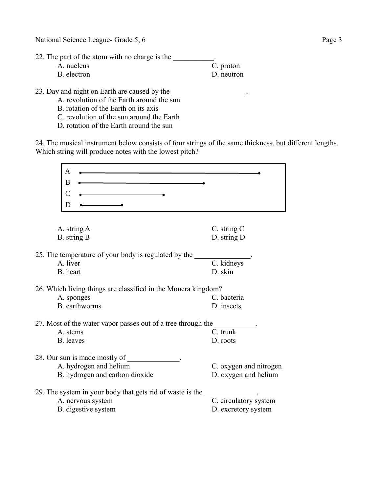National Science League- Grade 5, 6 Page 3

22. The part of the atom with no charge is the \_\_\_\_\_\_\_\_\_\_.

| A. nucleus  | C. proton  |
|-------------|------------|
| B. electron | D. neutron |

23. Day and night on Earth are caused by the  $\blacksquare$ 

A. revolution of the Earth around the sun

B. rotation of the Earth on its axis

- C. revolution of the sun around the Earth
- D. rotation of the Earth around the sun

24. The musical instrument below consists of four strings of the same thickness, but different lengths. Which string will produce notes with the lowest pitch?

| Α                                                                |                        |
|------------------------------------------------------------------|------------------------|
| B                                                                |                        |
|                                                                  |                        |
| С                                                                |                        |
| Ð                                                                |                        |
|                                                                  |                        |
| A. string A                                                      | C. string C            |
| B. string B                                                      | D. string D            |
|                                                                  |                        |
| 25. The temperature of your body is regulated by the<br>A. liver | C. kidneys             |
| B. heart                                                         | D. skin                |
|                                                                  |                        |
| 26. Which living things are classified in the Monera kingdom?    |                        |
| A. sponges                                                       | C. bacteria            |
| B. earthworms                                                    | D. insects             |
| 27. Most of the water vapor passes out of a tree through the     |                        |
| A. stems                                                         | C. trunk               |
| <b>B.</b> leaves                                                 | D. roots               |
|                                                                  |                        |
| 28. Our sun is made mostly of                                    |                        |
| A. hydrogen and helium                                           | C. oxygen and nitrogen |
| B. hydrogen and carbon dioxide                                   | D. oxygen and helium   |
|                                                                  |                        |
| 29. The system in your body that gets rid of waste is the        |                        |
| A. nervous system                                                | C. circulatory system  |
| B. digestive system                                              | D. excretory system    |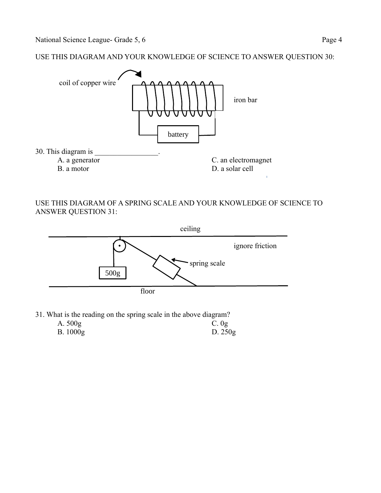USE THIS DIAGRAM AND YOUR KNOWLEDGE OF SCIENCE TO ANSWER QUESTION 30:



USE THIS DIAGRAM OF A SPRING SCALE AND YOUR KNOWLEDGE OF SCIENCE TO ANSWER QUESTION 31:



31. What is the reading on the spring scale in the above diagram? A. 500g C. 0g

| B. 1000g | D. $250g$ |
|----------|-----------|
|          |           |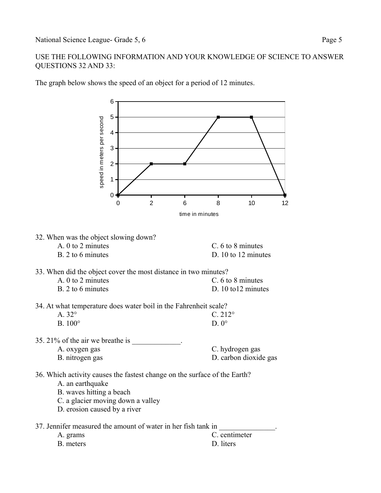## USE THE FOLLOWING INFORMATION AND YOUR KNOWLEDGE OF SCIENCE TO ANSWER QUESTIONS 32 AND 33:



The graph below shows the speed of an object for a period of 12 minutes.